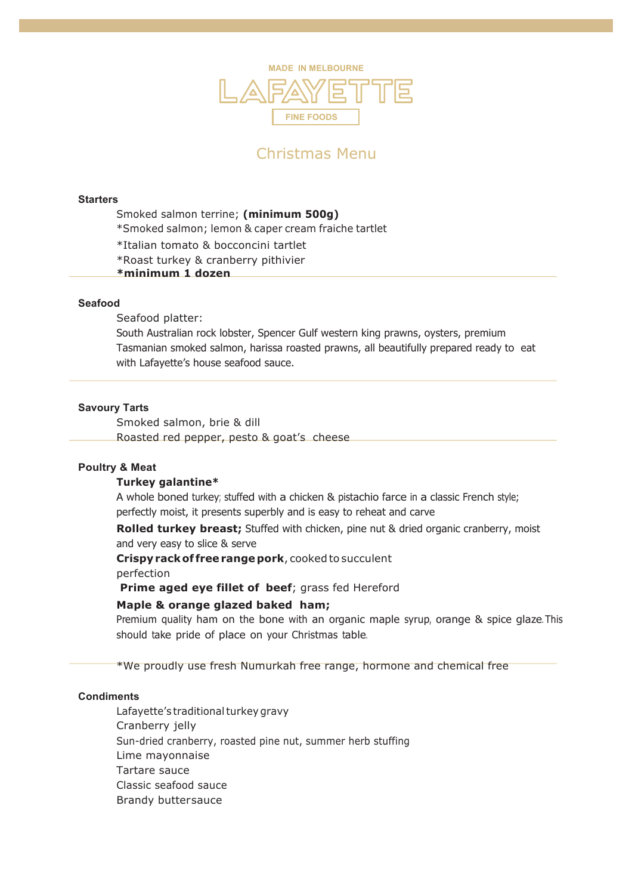

# Christmas Menu

#### **Starters**

- Smoked salmon terrine; **(minimum 500g)**
- \*Smoked salmon; lemon & caper cream fraiche tartlet
- \*Italian tomato & bocconcini tartlet
- \*Roast turkey & cranberry pithivier
- **\*minimum 1 dozen**

### **Seafood**

Seafood platter:

South Australian rock lobster, Spencer Gulf western king prawns, oysters, premium Tasmanian smoked salmon, harissa roasted prawns, all beautifully prepared ready to eat with Lafayette's house seafood sauce.

#### **Savoury Tarts**

Smoked salmon, brie & dill Roasted red pepper, pesto & goat's cheese

#### **Poultry & Meat**

### **Turkey galantine\***

A whole boned turkey; stuffed with a chicken & pistachio farce in a classic French style; perfectly moist, it presents superbly and is easy to reheat and carve

**Rolled turkey breast;** Stuffed with chicken, pine nut & dried organic cranberry, moist and very easy to slice & serve

**Crispyrackof freerangepork**, cooked to succulent

perfection

**Prime aged eye fillet of beef**; grass fed Hereford

#### **Maple & orange glazed baked ham;**

Premium quality ham on the bone with an organic maple syrup, orange & spice glaze. This should take pride of place on your Christmas table.

\*We proudly use fresh Numurkah free range, hormone and chemical free

## **Condiments**

Lafayette's traditional turkey gravy Cranberry jelly Sun-dried cranberry, roasted pine nut, summer herb stuffing Lime mayonnaise Tartare sauce Classic seafood sauce Brandy buttersauce